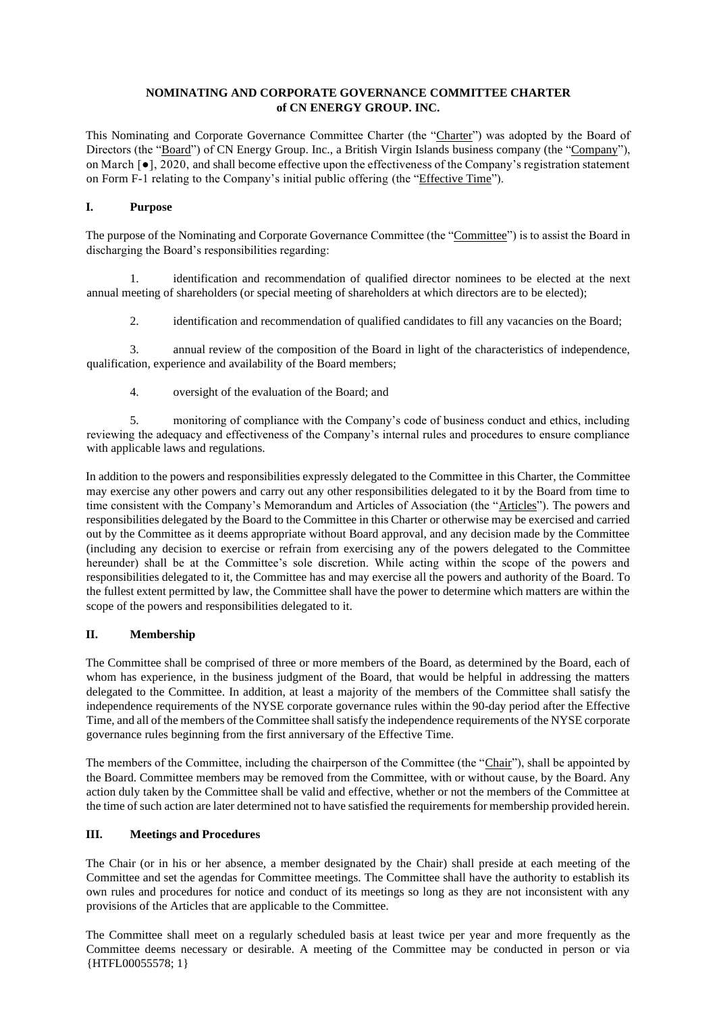## **NOMINATING AND CORPORATE GOVERNANCE COMMITTEE CHARTER of CN ENERGY GROUP. INC.**

This Nominating and Corporate Governance Committee Charter (the "Charter") was adopted by the Board of Directors (the "Board") of CN Energy Group. Inc., a British Virgin Islands business company (the "Company"), on March [●], 2020, and shall become effective upon the effectiveness of the Company's registration statement on Form F-1 relating to the Company's initial public offering (the "Effective Time").

#### **I. Purpose**

The purpose of the Nominating and Corporate Governance Committee (the "Committee") is to assist the Board in discharging the Board's responsibilities regarding:

1. identification and recommendation of qualified director nominees to be elected at the next annual meeting of shareholders (or special meeting of shareholders at which directors are to be elected);

2. identification and recommendation of qualified candidates to fill any vacancies on the Board;

3. annual review of the composition of the Board in light of the characteristics of independence, qualification, experience and availability of the Board members;

4. oversight of the evaluation of the Board; and

5. monitoring of compliance with the Company's code of business conduct and ethics, including reviewing the adequacy and effectiveness of the Company's internal rules and procedures to ensure compliance with applicable laws and regulations.

In addition to the powers and responsibilities expressly delegated to the Committee in this Charter, the Committee may exercise any other powers and carry out any other responsibilities delegated to it by the Board from time to time consistent with the Company's Memorandum and Articles of Association (the "Articles"). The powers and responsibilities delegated by the Board to the Committee in this Charter or otherwise may be exercised and carried out by the Committee as it deems appropriate without Board approval, and any decision made by the Committee (including any decision to exercise or refrain from exercising any of the powers delegated to the Committee hereunder) shall be at the Committee's sole discretion. While acting within the scope of the powers and responsibilities delegated to it, the Committee has and may exercise all the powers and authority of the Board. To the fullest extent permitted by law, the Committee shall have the power to determine which matters are within the scope of the powers and responsibilities delegated to it.

# **II. Membership**

The Committee shall be comprised of three or more members of the Board, as determined by the Board, each of whom has experience, in the business judgment of the Board, that would be helpful in addressing the matters delegated to the Committee. In addition, at least a majority of the members of the Committee shall satisfy the independence requirements of the NYSE corporate governance rules within the 90-day period after the Effective Time, and all of the members of the Committee shall satisfy the independence requirements of the NYSE corporate governance rules beginning from the first anniversary of the Effective Time.

The members of the Committee, including the chairperson of the Committee (the "Chair"), shall be appointed by the Board. Committee members may be removed from the Committee, with or without cause, by the Board. Any action duly taken by the Committee shall be valid and effective, whether or not the members of the Committee at the time of such action are later determined not to have satisfied the requirements for membership provided herein.

## **III. Meetings and Procedures**

The Chair (or in his or her absence, a member designated by the Chair) shall preside at each meeting of the Committee and set the agendas for Committee meetings. The Committee shall have the authority to establish its own rules and procedures for notice and conduct of its meetings so long as they are not inconsistent with any provisions of the Articles that are applicable to the Committee.

{HTFL00055578; 1} The Committee shall meet on a regularly scheduled basis at least twice per year and more frequently as the Committee deems necessary or desirable. A meeting of the Committee may be conducted in person or via